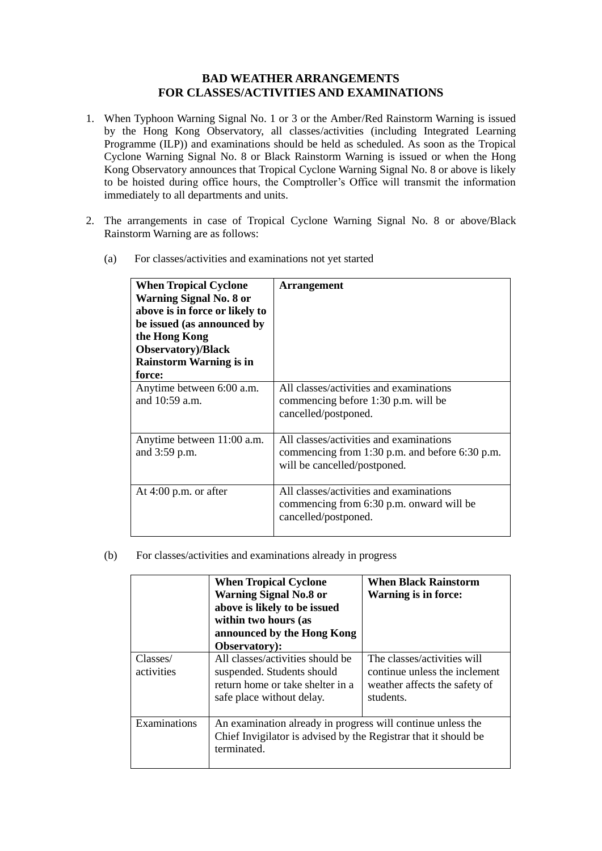## **BAD WEATHER ARRANGEMENTS FOR CLASSES/ACTIVITIES AND EXAMINATIONS**

- 1. When Typhoon Warning Signal No. 1 or 3 or the Amber/Red Rainstorm Warning is issued by the Hong Kong Observatory, all classes/activities (including Integrated Learning Programme (ILP)) and examinations should be held as scheduled. As soon as the Tropical Cyclone Warning Signal No. 8 or Black Rainstorm Warning is issued or when the Hong Kong Observatory announces that Tropical Cyclone Warning Signal No. 8 or above is likely to be hoisted during office hours, the Comptroller's Office will transmit the information immediately to all departments and units.
- 2. The arrangements in case of Tropical Cyclone Warning Signal No. 8 or above/Black Rainstorm Warning are as follows:
	- (a) For classes/activities and examinations not yet started

| <b>When Tropical Cyclone</b><br><b>Warning Signal No. 8 or</b><br>above is in force or likely to<br>be issued (as announced by<br>the Hong Kong<br><b>Observatory</b> )/Black<br><b>Rainstorm Warning is in</b><br>force: | <b>Arrangement</b>                                                                                                          |
|---------------------------------------------------------------------------------------------------------------------------------------------------------------------------------------------------------------------------|-----------------------------------------------------------------------------------------------------------------------------|
| Anytime between 6:00 a.m.<br>and 10:59 a.m.                                                                                                                                                                               | All classes/activities and examinations<br>commencing before 1:30 p.m. will be<br>cancelled/postponed.                      |
| Anytime between 11:00 a.m.<br>and 3:59 p.m.                                                                                                                                                                               | All classes/activities and examinations<br>commencing from 1:30 p.m. and before $6:30$ p.m.<br>will be cancelled/postponed. |
| At $4:00$ p.m. or after                                                                                                                                                                                                   | All classes/activities and examinations<br>commencing from 6:30 p.m. onward will be<br>cancelled/postponed.                 |

(b) For classes/activities and examinations already in progress

|                        | <b>When Tropical Cyclone</b><br><b>Warning Signal No.8 or</b><br>above is likely to be issued<br>within two hours (as<br>announced by the Hong Kong<br><b>Observatory:</b> | <b>When Black Rainstorm</b><br><b>Warning is in force:</b>                                                 |
|------------------------|----------------------------------------------------------------------------------------------------------------------------------------------------------------------------|------------------------------------------------------------------------------------------------------------|
| Classes/<br>activities | All classes/activities should be<br>suspended. Students should<br>return home or take shelter in a<br>safe place without delay.                                            | The classes/activities will<br>continue unless the inclement<br>weather affects the safety of<br>students. |
| Examinations           | An examination already in progress will continue unless the<br>Chief Invigilator is advised by the Registrar that it should be<br>terminated.                              |                                                                                                            |